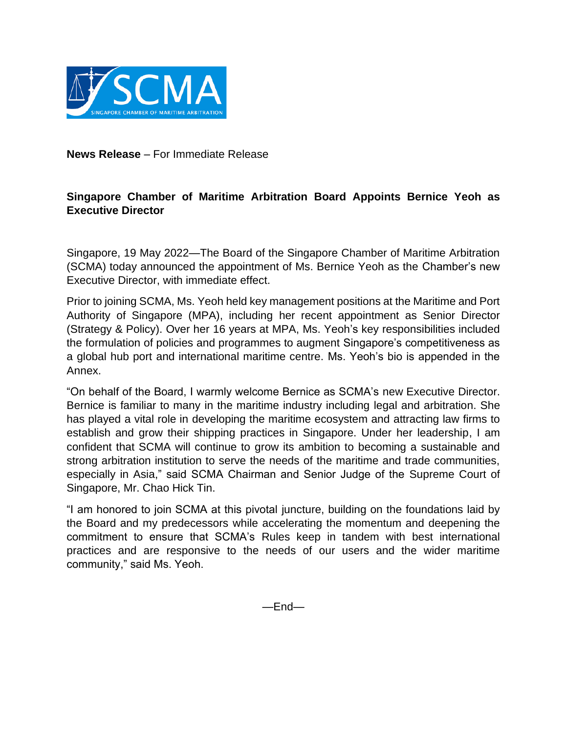

**News Release** – For Immediate Release

## **Singapore Chamber of Maritime Arbitration Board Appoints Bernice Yeoh as Executive Director**

Singapore, 19 May 2022—The Board of the Singapore Chamber of Maritime Arbitration (SCMA) today announced the appointment of Ms. Bernice Yeoh as the Chamber's new Executive Director, with immediate effect.

Prior to joining SCMA, Ms. Yeoh held key management positions at the Maritime and Port Authority of Singapore (MPA), including her recent appointment as Senior Director (Strategy & Policy). Over her 16 years at MPA, Ms. Yeoh's key responsibilities included the formulation of policies and programmes to augment Singapore's competitiveness as a global hub port and international maritime centre. Ms. Yeoh's bio is appended in the Annex.

"On behalf of the Board, I warmly welcome Bernice as SCMA's new Executive Director. Bernice is familiar to many in the maritime industry including legal and arbitration. She has played a vital role in developing the maritime ecosystem and attracting law firms to establish and grow their shipping practices in Singapore. Under her leadership, I am confident that SCMA will continue to grow its ambition to becoming a sustainable and strong arbitration institution to serve the needs of the maritime and trade communities, especially in Asia," said SCMA Chairman and Senior Judge of the Supreme Court of Singapore, Mr. Chao Hick Tin.

"I am honored to join SCMA at this pivotal juncture, building on the foundations laid by the Board and my predecessors while accelerating the momentum and deepening the commitment to ensure that SCMA's Rules keep in tandem with best international practices and are responsive to the needs of our users and the wider maritime community," said Ms. Yeoh.

—End—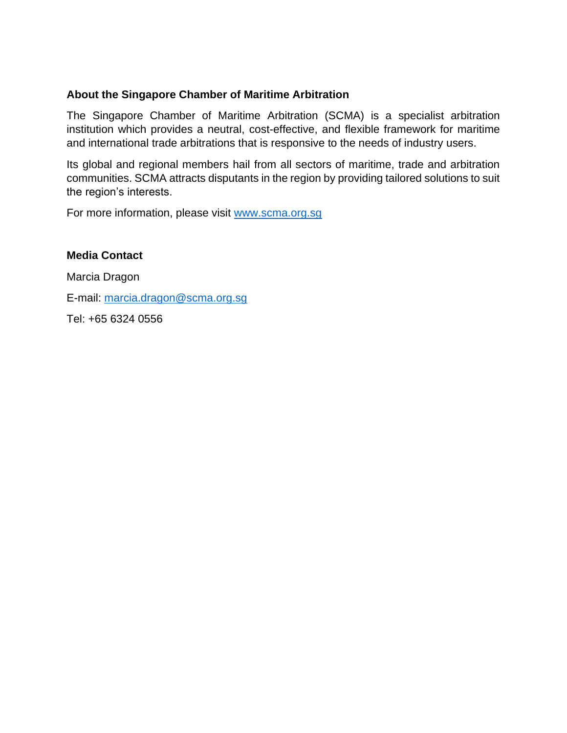## **About the Singapore Chamber of Maritime Arbitration**

The Singapore Chamber of Maritime Arbitration (SCMA) is a specialist arbitration institution which provides a neutral, cost-effective, and flexible framework for maritime and international trade arbitrations that is responsive to the needs of industry users.

Its global and regional members hail from all sectors of maritime, trade and arbitration communities. SCMA attracts disputants in the region by providing tailored solutions to suit the region's interests.

For more information, please visit [www.scma.org.sg](http://www.scma.org.sg/)

## **Media Contact**

Marcia Dragon E-mail: [marcia.dragon@scma.org.sg](mailto:marcia.dragon@scma.org.sg) Tel: +65 6324 0556